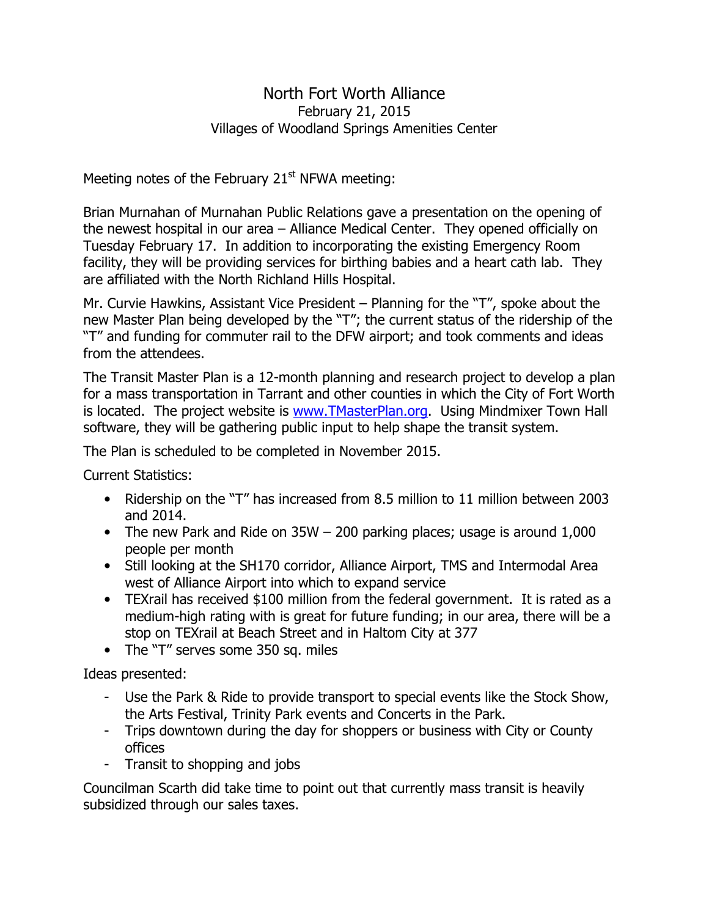## North Fort Worth Alliance February 21, 2015 Villages of Woodland Springs Amenities Center

Meeting notes of the February  $21<sup>st</sup>$  NFWA meeting:

Brian Murnahan of Murnahan Public Relations gave a presentation on the opening of the newest hospital in our area – Alliance Medical Center. They opened officially on Tuesday February 17. In addition to incorporating the existing Emergency Room facility, they will be providing services for birthing babies and a heart cath lab. They are affiliated with the North Richland Hills Hospital.

Mr. Curvie Hawkins, Assistant Vice President – Planning for the "T", spoke about the new Master Plan being developed by the "T"; the current status of the ridership of the "T" and funding for commuter rail to the DFW airport; and took comments and ideas from the attendees.

The Transit Master Plan is a 12-month planning and research project to develop a plan for a mass transportation in Tarrant and other counties in which the City of Fort Worth is located. The project website is www.TMasterPlan.org. Using Mindmixer Town Hall software, they will be gathering public input to help shape the transit system.

The Plan is scheduled to be completed in November 2015.

Current Statistics:

- Ridership on the "T" has increased from 8.5 million to 11 million between 2003 and 2014.
- The new Park and Ride on 35W 200 parking places; usage is around 1,000 people per month
- Still looking at the SH170 corridor, Alliance Airport, TMS and Intermodal Area west of Alliance Airport into which to expand service
- TEXrail has received \$100 million from the federal government. It is rated as a medium-high rating with is great for future funding; in our area, there will be a stop on TEXrail at Beach Street and in Haltom City at 377
- The "T" serves some 350 sq. miles

Ideas presented:

- Use the Park & Ride to provide transport to special events like the Stock Show, the Arts Festival, Trinity Park events and Concerts in the Park.
- Trips downtown during the day for shoppers or business with City or County offices
- Transit to shopping and jobs

Councilman Scarth did take time to point out that currently mass transit is heavily subsidized through our sales taxes.